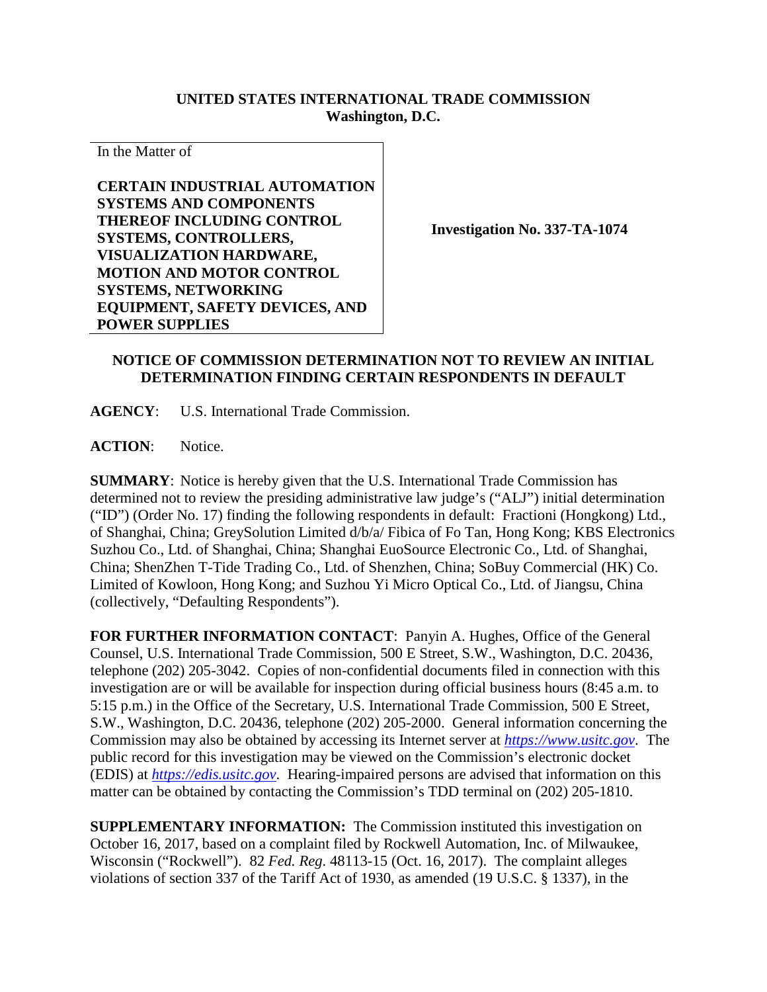## **UNITED STATES INTERNATIONAL TRADE COMMISSION Washington, D.C.**

In the Matter of

**CERTAIN INDUSTRIAL AUTOMATION SYSTEMS AND COMPONENTS THEREOF INCLUDING CONTROL SYSTEMS, CONTROLLERS, VISUALIZATION HARDWARE, MOTION AND MOTOR CONTROL SYSTEMS, NETWORKING EQUIPMENT, SAFETY DEVICES, AND POWER SUPPLIES**

**Investigation No. 337-TA-1074**

## **NOTICE OF COMMISSION DETERMINATION NOT TO REVIEW AN INITIAL DETERMINATION FINDING CERTAIN RESPONDENTS IN DEFAULT**

**AGENCY**: U.S. International Trade Commission.

**ACTION**: Notice.

**SUMMARY**: Notice is hereby given that the U.S. International Trade Commission has determined not to review the presiding administrative law judge's ("ALJ") initial determination ("ID") (Order No. 17) finding the following respondents in default: Fractioni (Hongkong) Ltd., of Shanghai, China; GreySolution Limited d/b/a/ Fibica of Fo Tan, Hong Kong; KBS Electronics Suzhou Co., Ltd. of Shanghai, China; Shanghai EuoSource Electronic Co., Ltd. of Shanghai, China; ShenZhen T-Tide Trading Co., Ltd. of Shenzhen, China; SoBuy Commercial (HK) Co. Limited of Kowloon, Hong Kong; and Suzhou Yi Micro Optical Co., Ltd. of Jiangsu, China (collectively, "Defaulting Respondents").

**FOR FURTHER INFORMATION CONTACT**: Panyin A. Hughes, Office of the General Counsel, U.S. International Trade Commission, 500 E Street, S.W., Washington, D.C. 20436, telephone (202) 205-3042. Copies of non-confidential documents filed in connection with this investigation are or will be available for inspection during official business hours (8:45 a.m. to 5:15 p.m.) in the Office of the Secretary, U.S. International Trade Commission, 500 E Street, S.W., Washington, D.C. 20436, telephone (202) 205-2000. General information concerning the Commission may also be obtained by accessing its Internet server at *[https://www.usitc.gov](https://www.usitc.gov/)*. The public record for this investigation may be viewed on the Commission's electronic docket (EDIS) at *[https://edis.usitc.gov](https://edis.usitc.gov/)*. Hearing-impaired persons are advised that information on this matter can be obtained by contacting the Commission's TDD terminal on (202) 205-1810.

**SUPPLEMENTARY INFORMATION:** The Commission instituted this investigation on October 16, 2017, based on a complaint filed by Rockwell Automation, Inc. of Milwaukee, Wisconsin ("Rockwell"). 82 *Fed. Reg*. 48113-15 (Oct. 16, 2017). The complaint alleges violations of section 337 of the Tariff Act of 1930, as amended (19 U.S.C. § 1337), in the